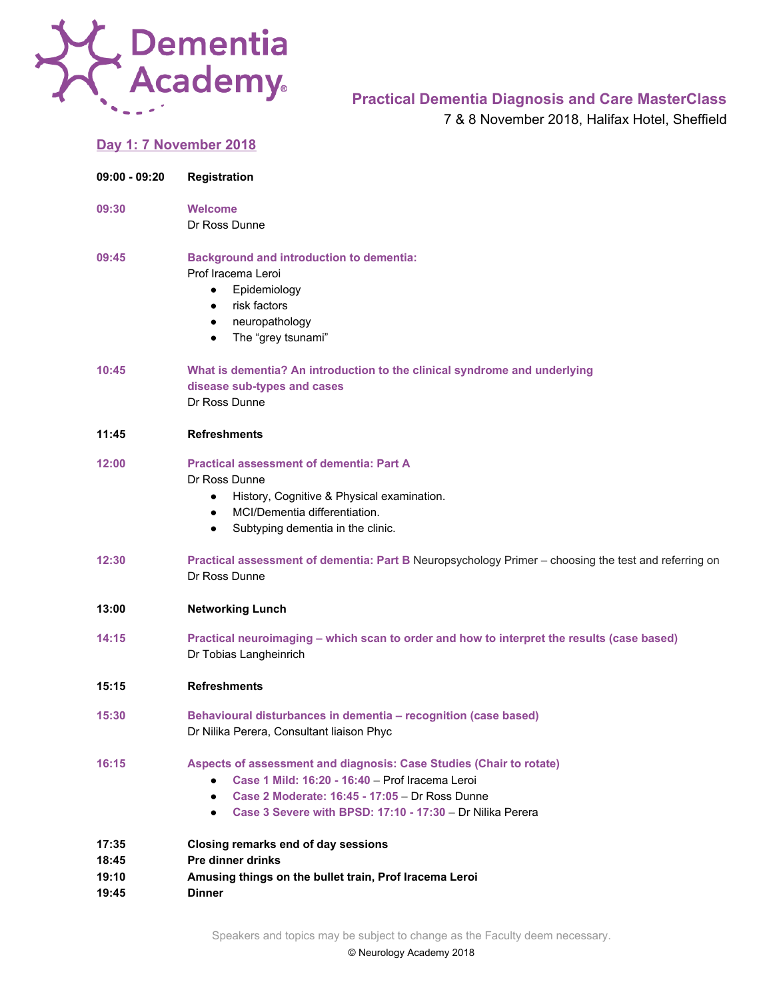

## **Practical Dementia Diagnosis and Care MasterClass**

7 & 8 November 2018, Halifax Hotel, Sheffield

## **Day 1: 7 November 2018**

| $09:00 - 09:20$                  | Registration                                                                                                                                                                                                                                                    |
|----------------------------------|-----------------------------------------------------------------------------------------------------------------------------------------------------------------------------------------------------------------------------------------------------------------|
| 09:30                            | <b>Welcome</b><br>Dr Ross Dunne                                                                                                                                                                                                                                 |
| 09:45                            | <b>Background and introduction to dementia:</b><br>Prof Iracema Leroi<br>Epidemiology<br>$\bullet$<br>risk factors<br>$\bullet$<br>neuropathology<br>$\bullet$<br>The "grey tsunami"<br>$\bullet$                                                               |
| 10:45                            | What is dementia? An introduction to the clinical syndrome and underlying<br>disease sub-types and cases<br>Dr Ross Dunne                                                                                                                                       |
| 11:45                            | <b>Refreshments</b>                                                                                                                                                                                                                                             |
| 12:00                            | <b>Practical assessment of dementia: Part A</b><br>Dr Ross Dunne<br>History, Cognitive & Physical examination.<br>$\bullet$<br>MCI/Dementia differentiation.<br>$\bullet$<br>Subtyping dementia in the clinic.<br>$\bullet$                                     |
| 12:30                            | Practical assessment of dementia: Part B Neuropsychology Primer - choosing the test and referring on<br>Dr Ross Dunne                                                                                                                                           |
| 13:00                            | <b>Networking Lunch</b>                                                                                                                                                                                                                                         |
| 14:15                            | Practical neuroimaging - which scan to order and how to interpret the results (case based)<br>Dr Tobias Langheinrich                                                                                                                                            |
| 15:15                            | <b>Refreshments</b>                                                                                                                                                                                                                                             |
| 15:30                            | Behavioural disturbances in dementia - recognition (case based)<br>Dr Nilika Perera, Consultant liaison Phyc                                                                                                                                                    |
| 16:15                            | Aspects of assessment and diagnosis: Case Studies (Chair to rotate)<br>Case 1 Mild: 16:20 - 16:40 - Prof Iracema Leroi<br>$\bullet$<br>Case 2 Moderate: 16:45 - 17:05 - Dr Ross Dunne<br>Case 3 Severe with BPSD: 17:10 - 17:30 - Dr Nilika Perera<br>$\bullet$ |
| 17:35<br>18:45<br>19:10<br>19:45 | Closing remarks end of day sessions<br>Pre dinner drinks<br>Amusing things on the bullet train, Prof Iracema Leroi<br><b>Dinner</b>                                                                                                                             |

Speakers and topics may be subject to change as the Faculty deem necessary.